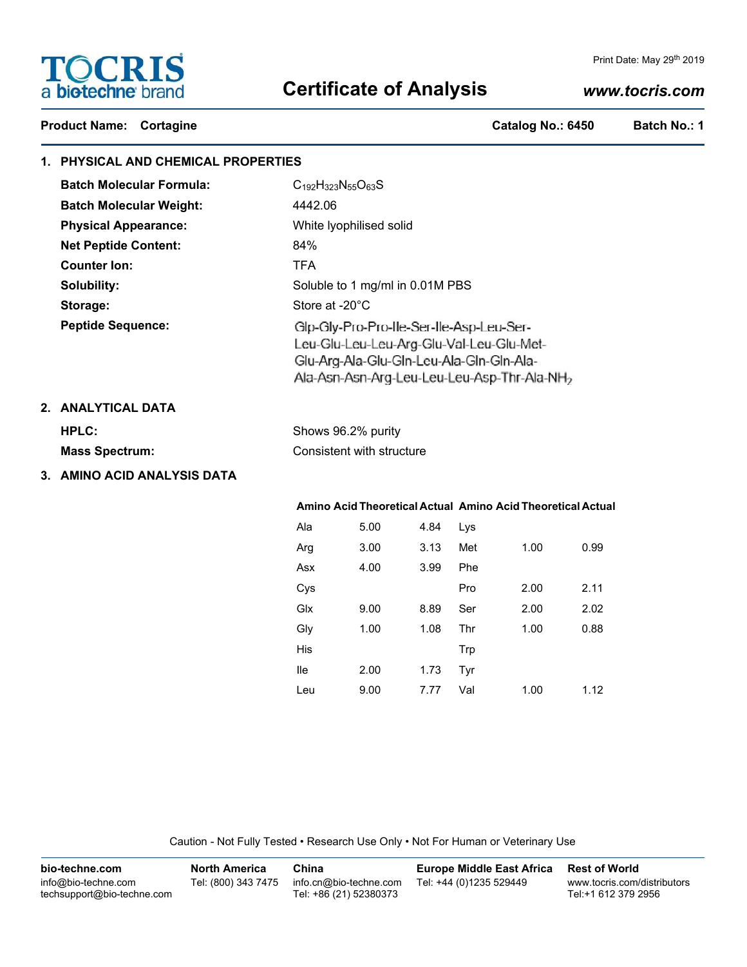# **TOCRIS** a biotechne brand

# **Certificate of Analysis**

# Print Date: May 29th 2019

# *www.tocris.com*

Product Name: Cortagine Catalog No.: 6450 Batch No.: 1

| 1. PHYSICAL AND CHEMICAL PROPERTIES |                                                                                                                                                                                             |  |  |
|-------------------------------------|---------------------------------------------------------------------------------------------------------------------------------------------------------------------------------------------|--|--|
| <b>Batch Molecular Formula:</b>     | $C_{192}H_{323}N_{55}O_{63}S$                                                                                                                                                               |  |  |
| <b>Batch Molecular Weight:</b>      | 4442.06                                                                                                                                                                                     |  |  |
| <b>Physical Appearance:</b>         | White Iyophilised solid                                                                                                                                                                     |  |  |
| <b>Net Peptide Content:</b>         | 84%                                                                                                                                                                                         |  |  |
| <b>Counter lon:</b>                 | <b>TFA</b>                                                                                                                                                                                  |  |  |
| Solubility:                         | Soluble to 1 mg/ml in 0.01M PBS                                                                                                                                                             |  |  |
| Storage:                            | Store at -20°C                                                                                                                                                                              |  |  |
| <b>Peptide Sequence:</b>            | Glp-Gly-Pro-Pro-Ile-Ser-Ile-Asp-Leu-Ser-<br>Leu-Glu-Leu-Leu-Arg-Glu-Val-Leu-Glu-Met-<br>Glu-Arg-Ala-Glu-Gln-Leu-Ala-Gln-Gln-Ala-<br>Ala-Asn-Asn-Arg-Leu-Leu-Leu-Asp-Thr-Ala-NH <sub>2</sub> |  |  |

# **2. ANALYTICAL DATA**

| <b>HPLC:</b>          | Shows 96.2% purity        |
|-----------------------|---------------------------|
| <b>Mass Spectrum:</b> | Consistent with structure |

# **3. AMINO ACID ANALYSIS DATA**

## **Amino Acid Theoretical Actual Amino Acid Theoretical Actual**

| Ala | 5.00 | 4.84 | Lys |      |      |
|-----|------|------|-----|------|------|
| Arg | 3.00 | 3.13 | Met | 1.00 | 0.99 |
| Asx | 4.00 | 3.99 | Phe |      |      |
| Cys |      |      | Pro | 2.00 | 2.11 |
| Glx | 9.00 | 8.89 | Ser | 2.00 | 2.02 |
| Gly | 1.00 | 1.08 | Thr | 1.00 | 0.88 |
| His |      |      | Trp |      |      |
| lle | 2.00 | 1.73 | Tyr |      |      |
| Leu | 9.00 | 7.77 | Val | 1.00 | 1.12 |

Caution - Not Fully Tested • Research Use Only • Not For Human or Veterinary Use

| bio-techne.com                                    | <b>North America</b> | China                                            | <b>Europe Middle East Africa</b> | <b>Rest of World</b>                               |
|---------------------------------------------------|----------------------|--------------------------------------------------|----------------------------------|----------------------------------------------------|
| info@bio-techne.com<br>techsupport@bio-techne.com | Tel: (800) 343 7475  | info.cn@bio-techne.com<br>Tel: +86 (21) 52380373 | Tel: +44 (0)1235 529449          | www.tocris.com/distributors<br>Tel:+1 612 379 2956 |